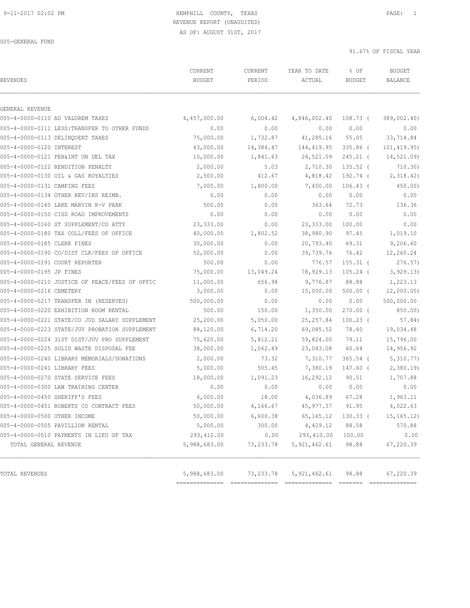## 9-11-2017 02:02 PM HEMPHILL COUNTY, TEXAS PAGE: 1 REVENUE REPORT (UNAUDITED)

AS OF: AUGUST 31ST, 2017

005-GENERAL FUND

| <b>REVENUES</b>                               |                                                | CURRENT<br><b>BUDGET</b> | CURRENT<br>PERIOD | YEAR TO DATE<br>ACTUAL | % OF<br><b>BUDGET</b> | <b>BUDGET</b><br>BALANCE |
|-----------------------------------------------|------------------------------------------------|--------------------------|-------------------|------------------------|-----------------------|--------------------------|
| GENERAL REVENUE                               |                                                |                          |                   |                        |                       |                          |
| 005-4-0000-0110 AD VALOREM TAXES              |                                                | 4,457,000.00             | 6,004.42          | 4,846,002.40           | 108.73 (              | 389,002.40)              |
| 005-4-0000-0111 LESS: TRANSFER TO OTHER FUNDS |                                                | 0.00                     | 0.00              | 0.00                   | 0.00                  | 0.00                     |
| 005-4-0000-0113 DELINOUENT TAXES              |                                                | 75,000.00                | 1,732.87          | 41,285.16              | 55.05                 | 33,714.84                |
| 005-4-0000-0120 INTEREST                      |                                                | 43,000.00                | 14,384.47         | 144,419.95             | $335.86$ (            | 101, 419.95)             |
| 005-4-0000-0121 PEN&INT ON DEL TAX            |                                                | 10,000.00                | 1,841.63          | 24,521.09              | $245.21$ (            | 14,521.09)               |
| 005-4-0000-0122 RENDITION PENALTY             |                                                | 2,000.00                 | 5.03              | 2,710.30               | $135.52$ (            | 710.30)                  |
| 005-4-0000-0130 OIL & GAS ROYALTIES           |                                                | 2,500.00                 | 412.67            | 4,818.42               | 192.74 (              | 2,318.42)                |
| 005-4-0000-0131 CAMPING FEES                  |                                                | 7,000.00                 | 1,800.00          | 7,450.00               | $106.43$ (            | 450.00                   |
| 005-4-0000-0134 OTHER REV/INS REIMB.          |                                                | 0.00                     | 0.00              | 0.00                   | 0.00                  | 0.00                     |
| 005-4-0000-0140 LAKE MARVIN R-V PARK          |                                                | 500.00                   | 0.00              | 363.64                 | 72.73                 | 136.36                   |
| 005-4-0000-0150 CISD ROAD IMPROVEMENTS        |                                                | 0.00                     | 0.00              | 0.00                   | 0.00                  | 0.00                     |
| 005-4-0000-0160 ST SUPPLEMENT/CO ATTY         |                                                | 23,333.00                | 0.00              | 23,333.00              | 100.00                | 0.00                     |
| 005-4-0000-0180 TAX COLL/FEES OF OFFICE       |                                                | 40,000.00                | 1,802.52          | 38,980.90              | 97.45                 | 1,019.10                 |
| 005-4-0000-0185 CLERK FINES                   |                                                | 30,000.00                | 0.00              | 20,793.40              | 69.31                 | 9,206.60                 |
| 005-4-0000-0190 CO/DIST CLK/FEES OF OFFICE    |                                                | 52,000.00                | 0.00              | 39,739.76              | 76.42                 | 12,260.24                |
| 005-4-0000-0191 COURT REPORTER                |                                                | 500.00                   | 0.00              | 776.57                 | $155.31$ (            | 276.57)                  |
| 005-4-0000-0195 JP FINES                      |                                                | 75,000.00                | 13,049.24         | 78,929.13              | $105.24$ (            | 3, 929.13                |
|                                               | 005-4-0000-0210 JUSTICE OF PEACE/FEES OF OFFIC | 11,000.00                | 656.98            | 9,776.87               | 88.88                 | 1,223.13                 |
| 005-4-0000-0216 CEMETERY                      |                                                | 3,000.00                 | 0.00              | 15,000.00              | $500.00$ (            | 12,000.00)               |
| 005-4-0000-0217 TRANSFER IN (RESERVES)        |                                                | 500,000.00               | 0.00              | 0.00                   | 0.00                  | 500,000.00               |
| 005-4-0000-0220 EXHIBITION ROOM RENTAL        |                                                | 500.00                   | 150.00            | 1,350.00               | $270.00$ (            | 850.00)                  |
|                                               | 005-4-0000-0221 STATE/CO JUD SALARY SUPPLEMENT | 25,200.00                | 5,050.00          | 25, 257.84             | $100.23$ (            | 57.84)                   |
|                                               | 005-4-0000-0223 STATE/JUV PROBATION SUPPLEMENT | 88,120.00                | 6,714.20          | 69,085.52              | 78.40                 | 19,034.48                |
| 005-4-0000-0224 31ST DIST/JUV PRO SUPPLEMENT  |                                                | 75,620.00                | 5,812.21          | 59,824.00              | 79.11                 | 15,796.00                |
| 005-4-0000-0225 SOLID WASTE DISPOSAL FEE      |                                                | 38,000.00                | 1,062.49          | 23,043.08              | 60.64                 | 14,956.92                |
| 005-4-0000-0240 LIBRARY MEMORIALS/DONATIONS   |                                                | 2,000.00                 | 73.32             | 7,310.77               | $365.54$ (            | 5,310.77)                |
| 005-4-0000-0241 LIBRARY FEES                  |                                                | 5,000.00                 | 505.45            | 7,380.19               | 147.60 (              | 2,380.19                 |
| 005-4-0000-0270 STATE SERVICE FEES            |                                                | 18,000.00                | 1,091.23          | 16,292.12              | 90.51                 | 1,707.88                 |
| 005-4-0000-0300 LAW TRAINING CENTER           |                                                | 0.00                     | 0.00              | 0.00                   | 0.00                  | 0.00                     |
| 005-4-0000-0450 SHERIFF'S FEES                |                                                | 6,000.00                 | 18.00             | 4,036.89               | 67.28                 | 1,963.11                 |
| 005-4-0000-0451 ROBERTS CO CONTRACT FEES      |                                                | 50,000.00                | 4,166.67          | 45, 977.37             | 91.95                 | 4,022.63                 |
| 005-4-0000-0500 OTHER INCOME                  |                                                | 50,000.00                | 6,600.38          | 65, 165. 12            | $130.33$ (            | 15, 165.12)              |
| 005-4-0000-0505 PAVILLION RENTAL              |                                                | 5,000.00                 | 300.00            | 4,429.12               | 88.58                 | 570.88                   |
| 005-4-0000-0510 PAYMENTS IN LIEU OF TAX       |                                                | 293,410.00               | 0.00              | 293,410.00             | 100.00                | 0.00                     |
| TOTAL GENERAL REVENUE                         |                                                | 5,988,683.00             | 73,233.78         | 5, 921, 462.61         | 98.88                 | 67,220.39                |
| TOTAL REVENUES                                |                                                | 5,988,683.00             | 73,233.78         | 5, 921, 462.61         | 98.88                 | 67,220.39                |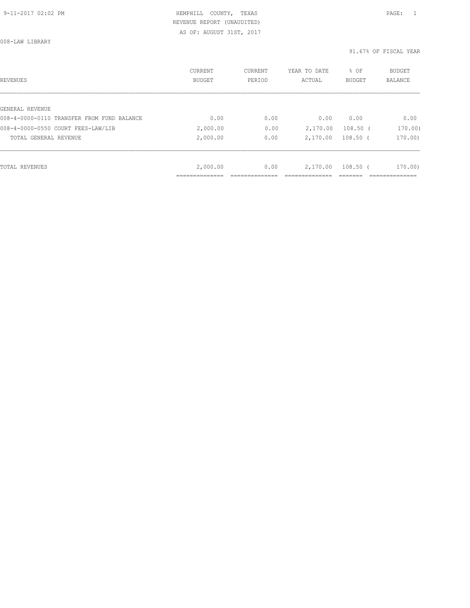008-LAW LIBRARY

| REVENUES                                   | CURRENT<br><b>BUDGET</b> | CURRENT<br>PERIOD | YEAR TO DATE<br>ACTUAL | % OF<br><b>BUDGET</b> | <b>BUDGET</b><br>BALANCE |
|--------------------------------------------|--------------------------|-------------------|------------------------|-----------------------|--------------------------|
|                                            |                          |                   |                        |                       |                          |
| GENERAL REVENUE                            |                          |                   |                        |                       |                          |
| 008-4-0000-0110 TRANSFER FROM FUND BALANCE | 0.00                     | 0.00              | 0.00                   | 0.00                  | 0.00                     |
| 008-4-0000-0550 COURT FEES-LAW/LIB         | 2,000.00                 | 0.00              | 2,170.00               | $108.50$ (            | 170.00)                  |
| TOTAL GENERAL REVENUE                      | 2,000.00                 | 0.00              | 2,170.00               | $108.50$ (            | 170.00                   |
|                                            |                          |                   |                        |                       |                          |
| TOTAL REVENUES                             | 2,000.00                 | 0.00              | 2,170.00               | $108.50$ (            | 170.00                   |
|                                            |                          |                   |                        |                       |                          |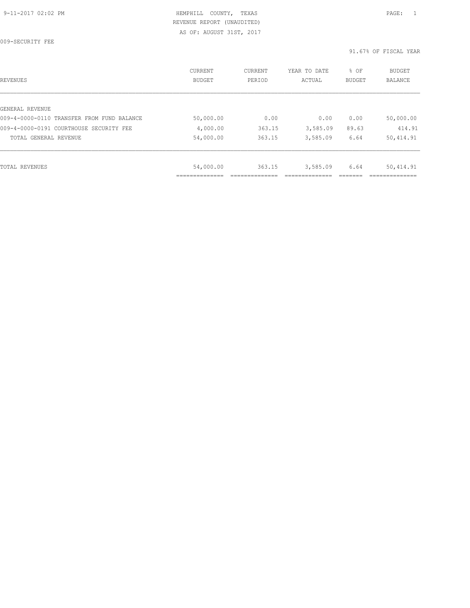009-SECURITY FEE

| REVENUES                                   | CURRENT<br><b>BUDGET</b> | CURRENT<br>PERIOD | YEAR TO DATE<br>ACTUAL | % OF<br>BUDGET | BUDGET<br><b>BALANCE</b> |
|--------------------------------------------|--------------------------|-------------------|------------------------|----------------|--------------------------|
|                                            |                          |                   |                        |                |                          |
| GENERAL REVENUE                            |                          |                   |                        |                |                          |
| 009-4-0000-0110 TRANSFER FROM FUND BALANCE | 50,000.00                | 0.00              | 0.00                   | 0.00           | 50,000.00                |
| 009-4-0000-0191 COURTHOUSE SECURITY FEE    | 4,000.00                 | 363.15            | 3,585.09               | 89.63          | 414.91                   |
| TOTAL GENERAL REVENUE                      | 54,000.00                | 363.15            | 3,585.09               | 6.64           | 50,414.91                |
|                                            |                          |                   |                        |                |                          |
| TOTAL REVENUES                             | 54,000.00                | 363.15            | 3,585.09               | 6.64           | 50,414.91                |
|                                            | _____________            |                   |                        |                |                          |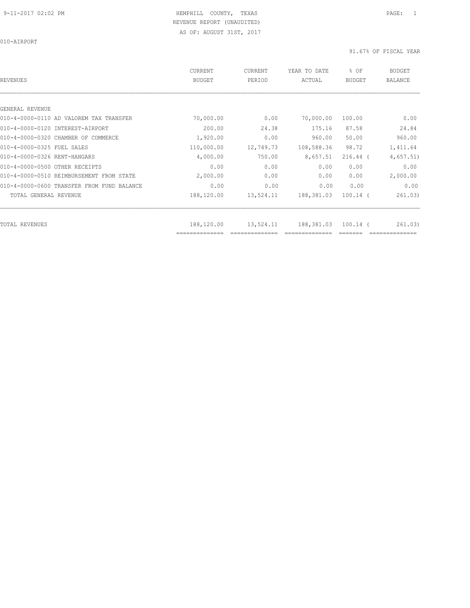010-AIRPORT

| REVENUES                                   | CURRENT<br><b>BUDGET</b> | CURRENT<br>PERIOD | YEAR TO DATE<br>ACTUAL | % OF<br><b>BUDGET</b> | <b>BUDGET</b><br><b>BALANCE</b> |
|--------------------------------------------|--------------------------|-------------------|------------------------|-----------------------|---------------------------------|
|                                            |                          |                   |                        |                       |                                 |
| GENERAL REVENUE                            |                          |                   |                        |                       |                                 |
| 010-4-0000-0110 AD VALOREM TAX TRANSFER    | 70,000.00                | 0.00              | 70,000.00              | 100.00                | 0.00                            |
| 010-4-0000-0120 INTEREST-AIRPORT           | 200.00                   | 24.38             | 175.16                 | 87.58                 | 24.84                           |
| 010-4-0000-0320 CHAMBER OF COMMERCE        | 1,920.00                 | 0.00              | 960.00                 | 50.00                 | 960.00                          |
| 010-4-0000-0325 FUEL SALES                 | 110,000.00               | 12,749.73         | 108,588.36             | 98.72                 | 1,411.64                        |
| 010-4-0000-0326 RENT-HANGARS               | 4,000.00                 | 750.00            | 8,657.51               | $216.44$ (            | 4,657.51)                       |
| 010-4-0000-0500 OTHER RECEIPTS             | 0.00                     | 0.00              | 0.00                   | 0.00                  | 0.00                            |
| 010-4-0000-0510 REIMBURSEMENT FROM STATE   | 2,000.00                 | 0.00              | 0.00                   | 0.00                  | 2,000.00                        |
| 010-4-0000-0600 TRANSFER FROM FUND BALANCE | 0.00                     | 0.00              | 0.00                   | 0.00                  | 0.00                            |
| TOTAL GENERAL REVENUE                      | 188,120.00               | 13,524.11         | 188,381.03             | $100.14$ (            | 261.03)                         |
| TOTAL REVENUES                             | 188,120.00               | 13,524.11         | 188,381.03             | $100.14$ (            | 261.03)                         |
|                                            | ==============           |                   |                        |                       |                                 |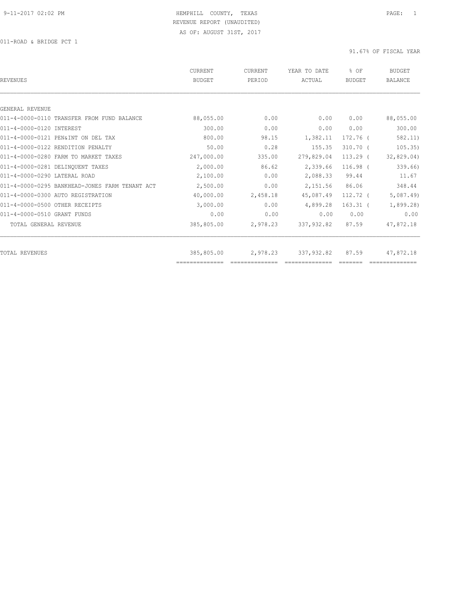011-ROAD & BRIDGE PCT 1

| REVENUES                                       | CURRENT<br><b>BUDGET</b>     | <b>CURRENT</b><br>PERIOD | YEAR TO DATE<br>ACTUAL | % OF<br>BUDGET | <b>BUDGET</b><br><b>BALANCE</b> |
|------------------------------------------------|------------------------------|--------------------------|------------------------|----------------|---------------------------------|
|                                                |                              |                          |                        |                |                                 |
| GENERAL REVENUE                                |                              |                          |                        |                |                                 |
| 011-4-0000-0110 TRANSFER FROM FUND BALANCE     | 88,055.00                    | 0.00                     | 0.00                   | 0.00           | 88,055.00                       |
| 011-4-0000-0120 INTEREST                       | 300.00                       | 0.00                     | 0.00                   | 0.00           | 300.00                          |
| 011-4-0000-0121 PEN&INT ON DEL TAX             | 800.00                       | 98.15                    | 1,382.11               | 172.76 (       | 582.11)                         |
| 011-4-0000-0122 RENDITION PENALTY              | 50.00                        | 0.28                     | 155.35                 | $310.70$ (     | 105.35)                         |
| 011-4-0000-0280 FARM TO MARKET TAXES           | 247,000.00                   | 335.00                   | 279,829.04             | $113.29$ (     | 32,829.04)                      |
| 011-4-0000-0281 DELINQUENT TAXES               | 2,000.00                     | 86.62                    | 2,339.66               | $116.98$ (     | 339.66)                         |
| 011-4-0000-0290 LATERAL ROAD                   | 2,100.00                     | 0.00                     | 2,088.33               | 99.44          | 11.67                           |
| 011-4-0000-0295 BANKHEAD-JONES FARM TENANT ACT | 2,500.00                     | 0.00                     | 2,151.56               | 86.06          | 348.44                          |
| 011-4-0000-0300 AUTO REGISTRATION              | 40,000.00                    | 2,458.18                 | 45,087.49              | 112.72 (       | 5,087.49                        |
| 011-4-0000-0500 OTHER RECEIPTS                 | 3,000.00                     | 0.00                     | 4,899.28               | $163.31$ (     | 1,899.28)                       |
| 011-4-0000-0510 GRANT FUNDS                    | 0.00                         | 0.00                     | 0.00                   | 0.00           | 0.00                            |
| TOTAL GENERAL REVENUE                          | 385,805.00                   | 2,978.23                 | 337,932.82             | 87.59          | 47,872.18                       |
|                                                |                              |                          |                        |                |                                 |
| TOTAL REVENUES                                 | 385,805.00<br>============== | 2,978.23                 | 337,932.82             | 87.59          | 47,872.18                       |
|                                                |                              |                          |                        |                |                                 |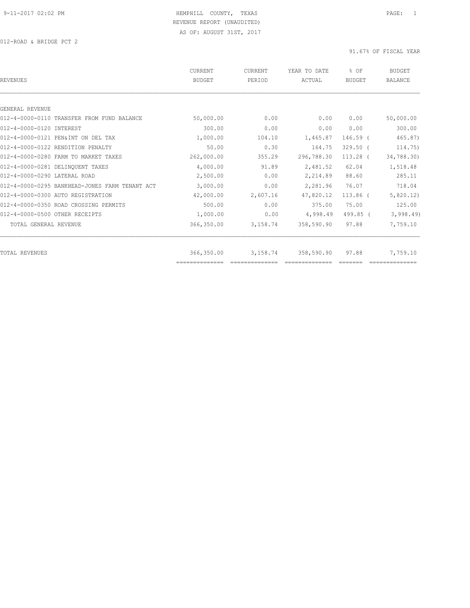012-ROAD & BRIDGE PCT 2

| REVENUES                                       | CURRENT<br><b>BUDGET</b> | CURRENT<br>PERIOD | YEAR TO DATE<br>ACTUAL | % OF<br><b>BUDGET</b> | <b>BUDGET</b><br><b>BALANCE</b> |
|------------------------------------------------|--------------------------|-------------------|------------------------|-----------------------|---------------------------------|
|                                                |                          |                   |                        |                       |                                 |
| GENERAL REVENUE                                |                          |                   |                        |                       |                                 |
| 012-4-0000-0110 TRANSFER FROM FUND BALANCE     | 50,000.00                | 0.00              | 0.00                   | 0.00                  | 50,000.00                       |
| 012-4-0000-0120 INTEREST                       | 300.00                   | 0.00              | 0.00                   | 0.00                  | 300.00                          |
| 012-4-0000-0121 PEN&INT ON DEL TAX             | 1,000.00                 | 104.10            | 1,465.87               | 146.59 (              | 465.87)                         |
| 012-4-0000-0122 RENDITION PENALTY              | 50.00                    | 0.30              | 164.75                 | $329.50$ (            | 114.75)                         |
| 012-4-0000-0280 FARM TO MARKET TAXES           | 262,000.00               | 355.29            | 296,788.30             | $113.28$ (            | 34,788.30)                      |
| 012-4-0000-0281 DELINQUENT TAXES               | 4,000.00                 | 91.89             | 2,481.52               | 62.04                 | 1,518.48                        |
| 012-4-0000-0290 LATERAL ROAD                   | 2,500.00                 | 0.00              | 2,214.89               | 88.60                 | 285.11                          |
| 012-4-0000-0295 BANKHEAD-JONES FARM TENANT ACT | 3,000.00                 | 0.00              | 2,281.96               | 76.07                 | 718.04                          |
| 012-4-0000-0300 AUTO REGISTRATION              | 42,000.00                | 2,607.16          | 47,820.12              | 113.86 (              | 5,820.12)                       |
| 012-4-0000-0350 ROAD CROSSING PERMITS          | 500.00                   | 0.00              | 375.00                 | 75.00                 | 125.00                          |
| 012-4-0000-0500 OTHER RECEIPTS                 | 1,000.00                 | 0.00              | 4,998.49               | 499.85 (              | 3,998.49                        |
| TOTAL GENERAL REVENUE                          | 366,350.00               | 3,158.74          | 358,590.90             | 97.88                 | 7,759.10                        |
| TOTAL REVENUES                                 | 366,350.00               | 3,158.74          | 358,590.90             | 97.88                 | 7,759.10                        |
|                                                | ==============           |                   |                        |                       |                                 |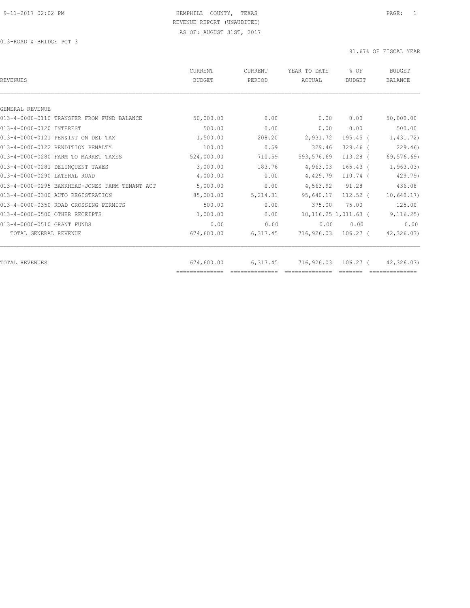013-ROAD & BRIDGE PCT 3

| REVENUES                                       | CURRENT<br><b>BUDGET</b> | <b>CURRENT</b><br>PERIOD | YEAR TO DATE<br>ACTUAL  | % OF<br>BUDGET      | <b>BUDGET</b><br><b>BALANCE</b> |
|------------------------------------------------|--------------------------|--------------------------|-------------------------|---------------------|---------------------------------|
|                                                |                          |                          |                         |                     |                                 |
| GENERAL REVENUE                                |                          |                          |                         |                     |                                 |
| 013-4-0000-0110 TRANSFER FROM FUND BALANCE     | 50,000.00                | 0.00                     | 0.00                    | 0.00                | 50,000.00                       |
| 013-4-0000-0120 INTEREST                       | 500.00                   | 0.00                     | 0.00                    | 0.00                | 500.00                          |
| 013-4-0000-0121 PEN&INT ON DEL TAX             | 1,500.00                 | 208.20                   | 2,931.72                | $195.45$ (          | 1,431.72)                       |
| 013-4-0000-0122 RENDITION PENALTY              | 100.00                   | 0.59                     | 329.46                  | $329.46$ (          | 229.46                          |
| 013-4-0000-0280 FARM TO MARKET TAXES           | 524,000.00               | 710.59                   | 593, 576.69             | $113.28$ (          | 69,576.69)                      |
| 013-4-0000-0281 DELINOUENT TAXES               | 3,000.00                 | 183.76                   | 4,963.03                | $165.43-$           | 1, 963.03)                      |
| 013-4-0000-0290 LATERAL ROAD                   | 4,000.00                 | 0.00                     | 4,429.79                | $110.74$ (          | 429.79)                         |
| 013-4-0000-0295 BANKHEAD-JONES FARM TENANT ACT | 5,000.00                 | 0.00                     | 4,563.92                | 91.28               | 436.08                          |
| 013-4-0000-0300 AUTO REGISTRATION              | 85,000.00                | 5,214.31                 | 95,640.17               | $112.52$ (          | 10,640.17)                      |
| 013-4-0000-0350 ROAD CROSSING PERMITS          | 500.00                   | 0.00                     | 375.00                  | 75.00               | 125.00                          |
| 013-4-0000-0500 OTHER RECEIPTS                 | 1,000.00                 | 0.00                     | $10, 116.25$ 1,011.63 ( |                     | 9, 116.25)                      |
| 013-4-0000-0510 GRANT FUNDS                    | 0.00                     | 0.00                     | 0.00                    | 0.00                | 0.00                            |
| TOTAL GENERAL REVENUE                          | 674,600.00               | 6,317.45                 | 716,926.03 106.27 (     |                     | 42,326.03)                      |
|                                                |                          |                          |                         |                     |                                 |
| TOTAL REVENUES                                 | 674,600.00               | 6,317.45                 |                         | 716,926.03 106.27 ( | 42,326.03)                      |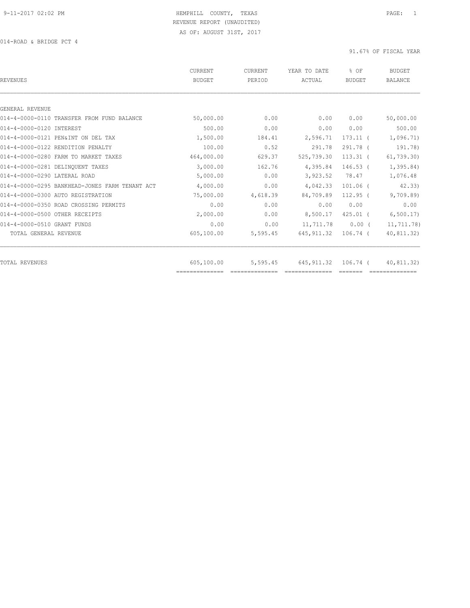014-ROAD & BRIDGE PCT 4

| CURRENT<br><b>BUDGET</b> | <b>CURRENT</b><br>PERIOD | YEAR TO DATE<br>ACTUAL | $8$ OF<br><b>BUDGET</b> | <b>BUDGET</b><br><b>BALANCE</b> |
|--------------------------|--------------------------|------------------------|-------------------------|---------------------------------|
|                          |                          |                        |                         |                                 |
|                          |                          |                        |                         |                                 |
| 50,000.00                | 0.00                     | 0.00                   | 0.00                    | 50,000.00                       |
| 500.00                   | 0.00                     | 0.00                   | 0.00                    | 500.00                          |
| 1,500.00                 | 184.41                   | 2,596.71               | $173.11$ (              | 1,096.71)                       |
| 100.00                   | 0.52                     | 291.78                 | 291.78 (                | 191.78)                         |
| 464,000.00               | 629.37                   | 525,739.30             | $113.31$ (              | 61, 739.30                      |
| 3,000.00                 | 162.76                   | 4,395.84               | $146.53$ (              | 1,395.84)                       |
| 5,000.00                 | 0.00                     | 3,923.52               | 78.47                   | 1,076.48                        |
| 4,000.00                 | 0.00                     | 4,042.33               | $101.06$ (              | 42.33                           |
| 75,000.00                | 4,618.39                 | 84,709.89              | $112.95$ (              | 9,709.89                        |
| 0.00                     | 0.00                     | 0.00                   | 0.00                    | 0.00                            |
| 2,000.00                 | 0.00                     | 8,500.17               | $425.01$ (              | 6, 500.17                       |
| 0.00                     | 0.00                     | 11,711.78              | $0.00$ (                | 11,711.78)                      |
| 605,100.00               | 5,595.45                 | 645, 911.32            | 106.74 (                | 40,811.32)                      |
|                          |                          |                        |                         | 40,811.32)                      |
|                          | 605,100.00               | 5,595.45               | 645, 911.32             | 106.74 (                        |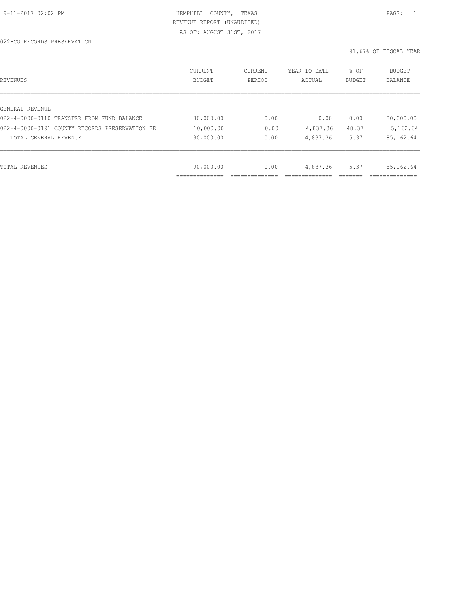022-CO RECORDS PRESERVATION

| REVENUES                                       | CURRENT<br><b>BUDGET</b> | CURRENT<br>PERIOD | YEAR TO DATE<br>ACTUAL | % OF<br>BUDGET | BUDGET<br>BALANCE |
|------------------------------------------------|--------------------------|-------------------|------------------------|----------------|-------------------|
|                                                |                          |                   |                        |                |                   |
| GENERAL REVENUE                                |                          |                   |                        |                |                   |
| 022-4-0000-0110 TRANSFER FROM FUND BALANCE     | 80,000.00                | 0.00              | 0.00                   | 0.00           | 80,000.00         |
| 022-4-0000-0191 COUNTY RECORDS PRESERVATION FE | 10,000.00                | 0.00              | 4,837.36               | 48.37          | 5,162.64          |
| TOTAL GENERAL REVENUE                          | 90,000.00                | 0.00              | 4,837.36               | 5.37           | 85,162.64         |
|                                                |                          |                   |                        |                |                   |
| TOTAL REVENUES                                 | 90,000.00                | 0.00              | 4,837.36               | 5.37           | 85,162.64         |
|                                                |                          |                   |                        |                |                   |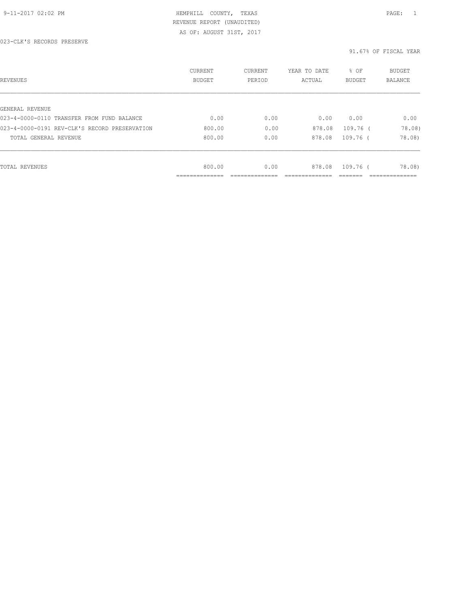# 9-11-2017 02:02 PM HEMPHILL COUNTY, TEXAS PAGE: 1 REVENUE REPORT (UNAUDITED)

AS OF: AUGUST 31ST, 2017

| REVENUES                                      | CURRENT<br>BUDGET | CURRENT<br>PERIOD | YEAR TO DATE<br>ACTUAL | % OF<br><b>BUDGET</b> | <b>BUDGET</b><br>BALANCE |
|-----------------------------------------------|-------------------|-------------------|------------------------|-----------------------|--------------------------|
|                                               |                   |                   |                        |                       |                          |
| GENERAL REVENUE                               |                   |                   |                        |                       |                          |
| 023-4-0000-0110 TRANSFER FROM FUND BALANCE    | 0.00              | 0.00              | 0.00                   | 0.00                  | 0.00                     |
| 023-4-0000-0191 REV-CLK'S RECORD PRESERVATION | 800.00            | 0.00              | 878.08                 | $109.76$ (            | 78.08)                   |
| TOTAL GENERAL REVENUE                         | 800.00            | 0.00              | 878.08                 | 109.76 (              | 78.08)                   |
|                                               |                   |                   |                        |                       |                          |
| TOTAL REVENUES                                | 800.00            | 0.00              | 878.08                 | 109.76 (              | 78.08)                   |
|                                               | __________        |                   |                        |                       |                          |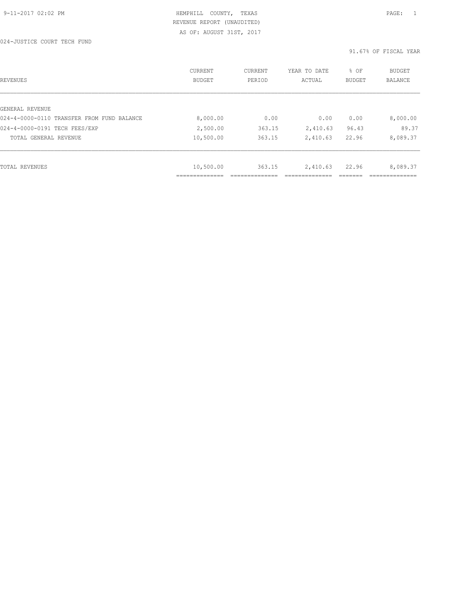024-JUSTICE COURT TECH FUND

| REVENUES                                   | CURRENT<br><b>BUDGET</b> | CURRENT<br>PERIOD | YEAR TO DATE<br>ACTUAL | % OF<br>BUDGET | <b>BUDGET</b><br>BALANCE |
|--------------------------------------------|--------------------------|-------------------|------------------------|----------------|--------------------------|
|                                            |                          |                   |                        |                |                          |
| GENERAL REVENUE                            |                          |                   |                        |                |                          |
| 024-4-0000-0110 TRANSFER FROM FUND BALANCE | 8,000.00                 | 0.00              | 0.00                   | 0.00           | 8,000.00                 |
| 024-4-0000-0191 TECH FEES/EXP              | 2,500.00                 | 363.15            | 2,410.63               | 96.43          | 89.37                    |
| TOTAL GENERAL REVENUE                      | 10,500.00                | 363.15            | 2,410.63               | 22.96          | 8,089.37                 |
|                                            |                          |                   |                        |                |                          |
| TOTAL REVENUES                             | 10,500.00                | 363.15            | 2,410.63               | 22.96          | 8,089.37                 |
|                                            | -----------              |                   |                        |                |                          |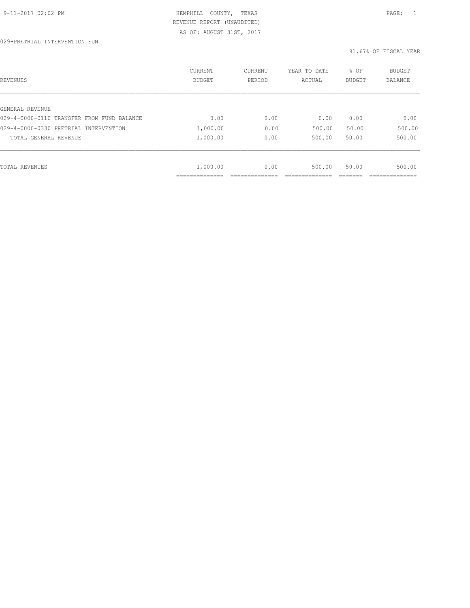| REVENUES                                   | <b>CURRENT</b><br><b>BUDGET</b> | CURRENT<br>PERIOD | YEAR TO DATE<br>ACTUAL | % OF<br><b>BUDGET</b> | BUDGET<br>BALANCE |
|--------------------------------------------|---------------------------------|-------------------|------------------------|-----------------------|-------------------|
| GENERAL REVENUE                            |                                 |                   |                        |                       |                   |
| 029-4-0000-0110 TRANSFER FROM FUND BALANCE | 0.00                            | 0.00              | 0.00                   | 0.00                  | 0.00              |
| 029-4-0000-0330 PRETRIAL INTERVENTION      | 1,000.00                        | 0.00              | 500.00                 | 50.00                 | 500.00            |
| TOTAL GENERAL REVENUE                      | 1,000.00                        | 0.00              | 500.00                 | 50.00                 | 500.00            |
|                                            |                                 |                   |                        |                       |                   |
| TOTAL REVENUES                             | 1,000.00                        | 0.00              | 500.00                 | 50.00                 | 500.00            |
|                                            | ______________                  |                   |                        |                       |                   |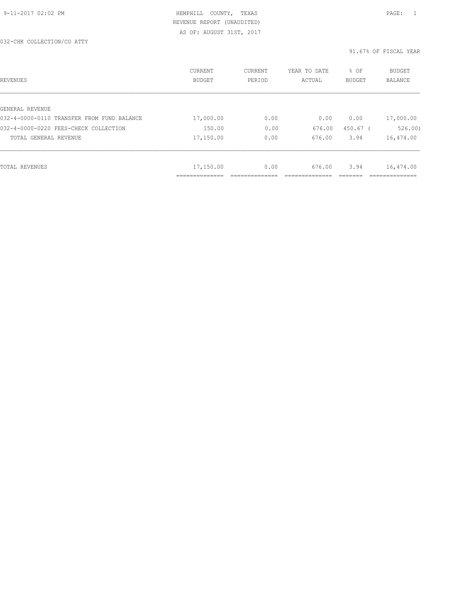032-CHK COLLECTION/CO ATTY

| REVENUES                                   | CURRENT<br>BUDGET | CURRENT<br>PERIOD | YEAR TO DATE<br>ACTUAL | % OF<br><b>BUDGET</b> | <b>BUDGET</b><br>BALANCE |
|--------------------------------------------|-------------------|-------------------|------------------------|-----------------------|--------------------------|
|                                            |                   |                   |                        |                       |                          |
| GENERAL REVENUE                            |                   |                   |                        |                       |                          |
| 032-4-0000-0110 TRANSFER FROM FUND BALANCE | 17,000.00         | 0.00              | 0.00                   | 0.00                  | 17,000.00                |
| 032-4-0000-0220 FEES-CHECK COLLECTION      | 150.00            | 0.00              | 676.00                 | 450.67 (              | 526.00                   |
| TOTAL GENERAL REVENUE                      | 17,150.00         | 0.00              | 676.00                 | 3.94                  | 16,474.00                |
|                                            |                   |                   |                        |                       |                          |
| TOTAL REVENUES                             | 17,150.00         | 0.00              | 676.00                 | 3.94                  | 16,474.00                |
|                                            |                   |                   |                        |                       |                          |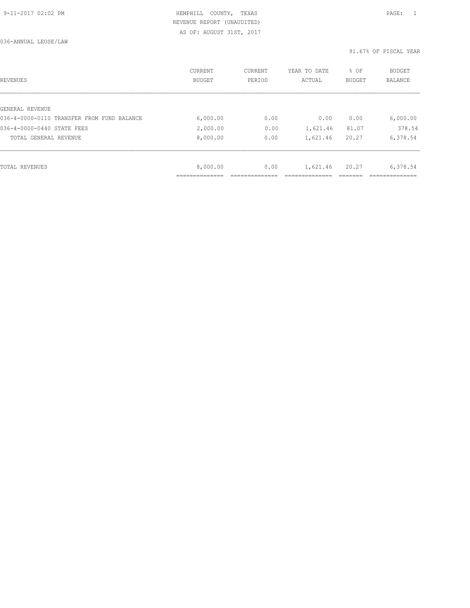036-ANNUAL LEOSE/LAW

| REVENUES                                   | CURRENT<br><b>BUDGET</b> | CURRENT<br>PERIOD | YEAR TO DATE<br>ACTUAL | % OF<br>BUDGET | BUDGET<br>BALANCE |
|--------------------------------------------|--------------------------|-------------------|------------------------|----------------|-------------------|
|                                            |                          |                   |                        |                |                   |
| GENERAL REVENUE                            |                          |                   |                        |                |                   |
| 036-4-0000-0110 TRANSFER FROM FUND BALANCE | 6,000.00                 | 0.00              | 0.00                   | 0.00           | 6,000.00          |
| 036-4-0000-0440 STATE FEES                 | 2,000.00                 | 0.00              | 1,621.46               | 81.07          | 378.54            |
| TOTAL GENERAL REVENUE                      | 8,000.00                 | 0.00              | 1,621.46               | 20.27          | 6,378.54          |
|                                            |                          |                   |                        |                |                   |
| TOTAL REVENUES                             | 8,000.00                 | 0.00              | 1,621.46               | 20.27          | 6,378.54          |
|                                            |                          |                   |                        |                |                   |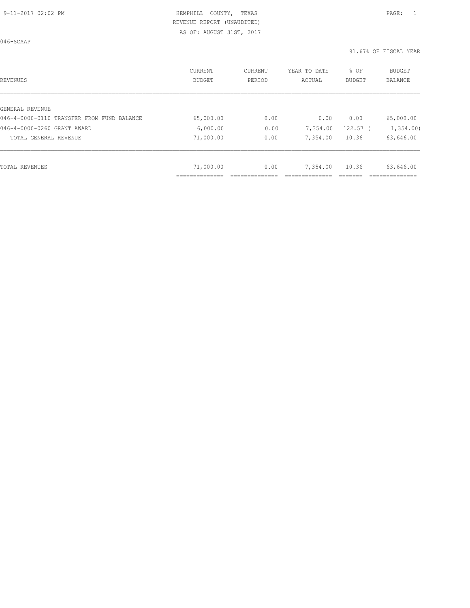046-SCAAP

| REVENUES                                   | CURRENT<br><b>BUDGET</b> | CURRENT<br>PERIOD | YEAR TO DATE<br>ACTUAL | % OF<br><b>BUDGET</b> | <b>BUDGET</b><br><b>BALANCE</b> |
|--------------------------------------------|--------------------------|-------------------|------------------------|-----------------------|---------------------------------|
|                                            |                          |                   |                        |                       |                                 |
| GENERAL REVENUE                            |                          |                   |                        |                       |                                 |
| 046-4-0000-0110 TRANSFER FROM FUND BALANCE | 65,000.00                | 0.00              | 0.00                   | 0.00                  | 65,000.00                       |
| 046-4-0000-0260 GRANT AWARD                | 6,000.00                 | 0.00              | 7,354.00               | $122.57$ (            | 1,354.00                        |
| TOTAL GENERAL REVENUE                      | 71,000.00                | 0.00              | 7,354.00               | 10.36                 | 63,646.00                       |
|                                            |                          |                   |                        |                       |                                 |
| TOTAL REVENUES                             | 71,000.00                | 0.00              | 7,354.00               | 10.36                 | 63,646.00                       |
|                                            | ____________<br>.        |                   |                        |                       |                                 |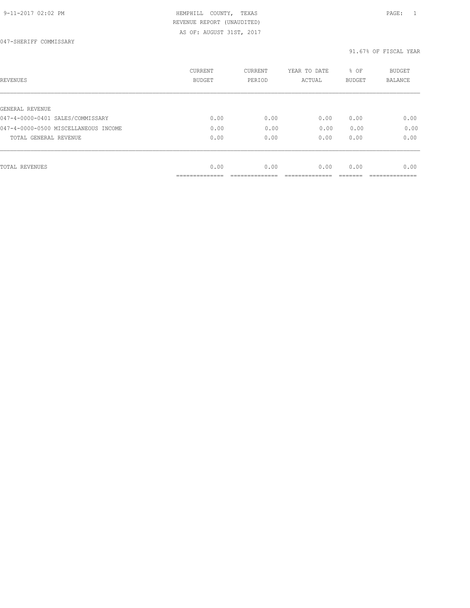# 9-11-2017 02:02 PM HEMPHILL COUNTY, TEXAS PAGE: 1 REVENUE REPORT (UNAUDITED)

AS OF: AUGUST 31ST, 2017

| REVENUES                             | CURRENT<br><b>BUDGET</b> | CURRENT<br>PERIOD | YEAR TO DATE<br>ACTUAL | % OF<br>BUDGET | BUDGET<br><b>BALANCE</b> |
|--------------------------------------|--------------------------|-------------------|------------------------|----------------|--------------------------|
|                                      |                          |                   |                        |                |                          |
| GENERAL REVENUE                      |                          |                   |                        |                |                          |
| 047-4-0000-0401 SALES/COMMISSARY     | 0.00                     | 0.00              | 0.00                   | 0.00           | 0.00                     |
| 047-4-0000-0500 MISCELLANEOUS INCOME | 0.00                     | 0.00              | 0.00                   | 0.00           | 0.00                     |
| TOTAL GENERAL REVENUE                | 0.00                     | 0.00              | 0.00                   | 0.00           | 0.00                     |
|                                      |                          |                   |                        |                |                          |
| TOTAL REVENUES                       | 0.00                     | 0.00              | 0.00                   | 0.00           | 0.00                     |
|                                      | __________               |                   |                        |                |                          |